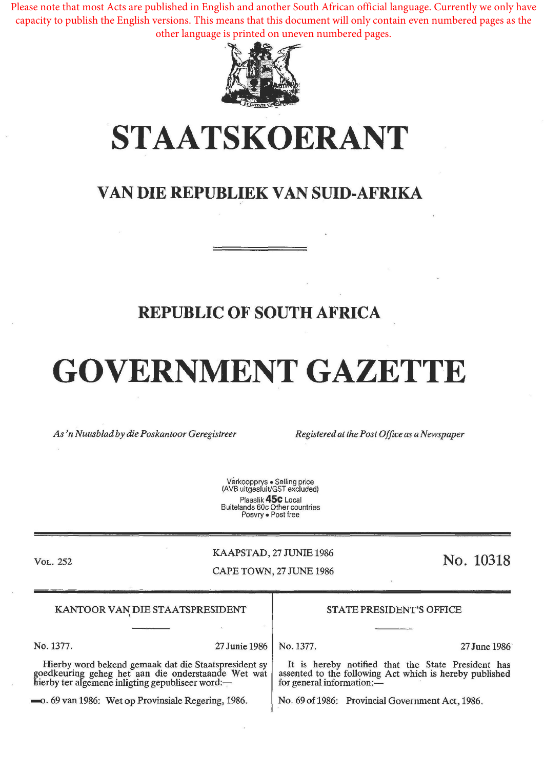Please note that most Acts are published in English and another South African official language. Currently we only have capacity to publish the English versions. This means that this document will only contain even numbered pages as the other language is printed on uneven numbered pages.



## **STAATSKOERANT**

## **VAN DIE REPUBLIEK VAN SUID-AFRIKA**

## **REPUBLIC OF SOUTH AFRICA**

# **GOVERNMENT GAZETTE**

*As 'n Nuusblad by die Poskantoor Geregistreer Registered at the Post Office as a Newspaper* 

Verkoopprys • Selling price (AVB uitgesluit/GST excluded) Plaaslik **45c** Local Buitelands 60c Other countries Posvry • Post free

VoL. 252

#### KAAPSTAD, 27 JUNIE 1986

#### CAPE TOWN, 27 JUNE 1986

## No. **10318**

| KANTOOR VAN DIE STAATSPRESIDENT                                                                                                                                | <b>STATE PRESIDENT'S OFFICE</b>                                                                                                            |  |
|----------------------------------------------------------------------------------------------------------------------------------------------------------------|--------------------------------------------------------------------------------------------------------------------------------------------|--|
|                                                                                                                                                                |                                                                                                                                            |  |
| No. 1377.<br>27 Junie 1986                                                                                                                                     | No. 1377.<br>27 June 1986                                                                                                                  |  |
| Hierby word bekend gemaak dat die Staatspresident sy<br>goedkeuring geheg het aan die onderstaande Wet wat<br>hierby ter algemene inligting gepubliseer word:— | It is hereby notified that the State President has<br>assented to the following Act which is hereby published<br>for general information:- |  |
| -0. 69 van 1986: Wet op Provinsiale Regering, 1986.                                                                                                            | No. 69 of 1986: Provincial Government Act, 1986.                                                                                           |  |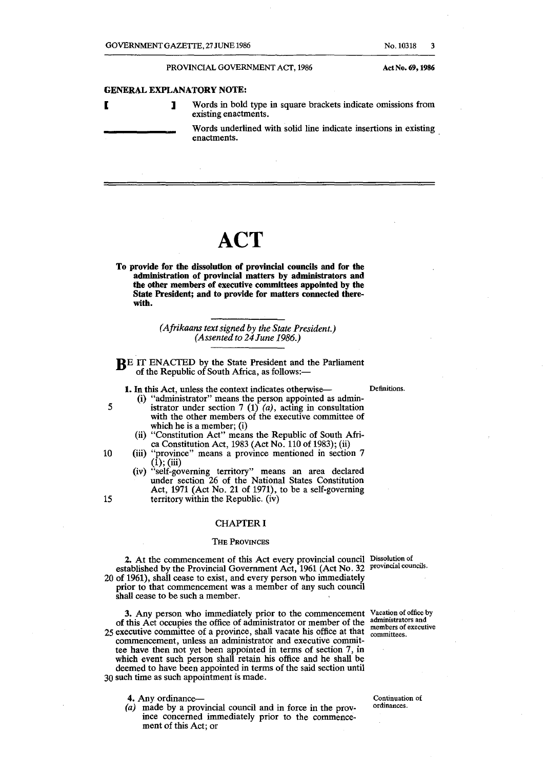#### GENERAL EXPLANATORY NOTE:

5

10

15

**1** Words in bold type in square brackets indicate omissions from existing enactments.

Words underlined with solid line indicate insertions in existing enactments.

## **ACT**

To provide for the dissolution of provincial councils and for the administration of provincial matters by administrators and the other members of executive committees appointed by the State President; and to provide for matters connected therewith.

> *(Afrikaans text signed by the State President.) (Assented to 24 June 1986.)*

RE IT ENACTED by the State President and the Parliament of the Republic of South Africa, as follows:-

1. In this Act, unless the context indicates otherwise-<br>Definitions.

- (i) "administrator" means the person appointed as administrator under section 7 (1)  $(a)$ , acting in consultation with the other members of the executive committee of which he is a member; (i)
- (ii) "Constitution Act" means the Republic of South Africa Constitution Act, 1983 (Act No. 110 of 1983); (ii)
- (iii) "province" means a province mentioned in section 7 (1); (iii)
	- (iv) "self-governing territory" means an area declared under section 26 of the National States Constitution Act, 1971 (Act No. 21 of 1971), to be a self-governing territory within the Republic. (iv)

#### CHAPTER I

#### THE PROVINCES

2. At the commencement of this Act every provincial council Dissolution of established by the Provincial Government Act, 1961 (Act No. 32 provincial councils. 20 of 1961), shall cease to exist, and every person who immediately prior to that commencement was a member of any such council

shall cease to be such a member.

3. Any person who immediately prior to the commencement Vacation of office by of this Act occupies the office of administrator or member of the 25 executive committee of a province, shall vacate his office at that commencement, unless an administrator and executive committee have then not yet been appointed in terms of section 7, in which event such person shall retain his office and he shall be deemed to have been appointed in terms of the said section until 30 such time as such appointment is made.

- 4. Any ordinance--
- *(a)* made by a provincial council and in force in the province concerned immediately prior to the commencement of this Act; or

administrators and members of executive

committees.

Continuation of ordinances.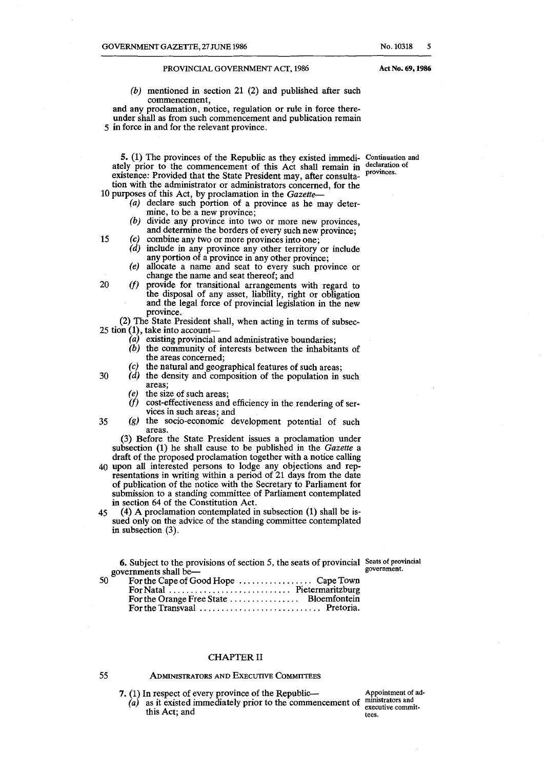(b) mentioned in section 21 (2) and published after such commencement,

and any proclamation, notice, regulation or rule in force thereunder shall as from such commencement and publication remain 5 in force in and for the relevant province.

5. (1) The provinces of the Republic as they existed immedi-**Continuation and**  ately prior to the commencement of this Act shall remain in declaration of existence: Provided that the State President may, after consultation with the administrator or administrators concerned, for the 10 purposes of this Act, by proclamation in the *Gazette-*

- (a) declare such portion of a province as he may determine, to be a new province;
- (b) divide any province into two or more new provinces, and determine the borders of every such new province;
- 15 (c) combine any two or more provinces into one; *(d)* include in any province any other territory or include
	- any portion of a province in any other province;
	- (e) allocate a name and seat to every such province or change the name and seat thereof; and
- 20 *(f)* provide for transitional arrangements with regard to the disposal of any asset, liability, right or obligation and the legal force of provincial legislation in the new province.

(2) The State President shall, when acting in terms of subsec-25 tion (1), take into account-

- $(a)$  existing provincial and administrative boundaries;
- (b) the community of interests between the inhabitants of the areas concerned;
- (c) the natural and geographical features of such areas;  $(d)$  the density and composition of the population in
- 30 *(d)* the density and composition of the population in such areas;
	- *(e)* the size of such areas;<br>*(f)* cost-effectiveness and
	- cost-effectiveness and efficiency in the rendering of services in such areas; and
- 35 (g) the socio-economic development potential of such areas.

(3) Before the State President issues a proclamation under subsection (1) he shall cause to be published in the *Gazette* a draft of the proposed proclamation together with a notice calling

- 40 upon all interested persons to lodge any objections and representations in writing within a period of 21 days from the date of publication of the notice with the Secretary to Parliament for submission to a standing committee of Parliament contemplated in section 64 of the Constitution Act.
- 45 (4) A proclamation contemplated in subsection (1) shall be issued only on the advice of the standing committee contemplated in subsection (3).

6. Subject to the provisions of section 5, the seats of provincial **Seats of provincial**  governments shall be-

**government.** 

50 For the Cape of Good Hope . . . . . . . . . . . . . . . . . Cape Town For Natal . . . . . . . . . . . . . . . . . . . . . . . . . . . . Pietermaritzburg For the Orange Free State . . . . . . . . . . . . . . . Bloemfontein For the Transvaal . . . . . . . . . . . . . . . . . . . . . . . . . . . . Pretoria.

#### CHAPTER II

55

### ADMINISTRATORS AND EXECUTIVE COMMITTEES

- 7. (1) In respect of every province of the Republic-
	- $(a)$  as it existed immediately prior to the commencement of this Act; and

Appointment of ad**ministrators and executive committees.** 

Act No. 69, 1986

**provinces.**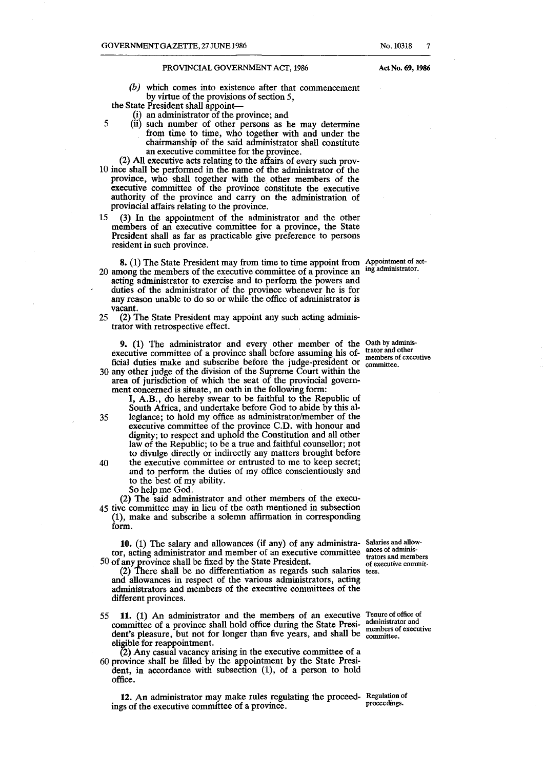(b) which comes into existence after that commencement by virtue of the provisions of section 5,

the State President shall appoint-

- (i) an administrator of the province; and
- 5 (ii) such number of other persons as he may determine from time to time, who together with and under the chairmanship of the said administrator shall constitute an executive committee for the province.
- (2) All executive acts relating to the affairs of every such prov-10 ince shall be performed in the name of the administrator of the province, who shall together with the. other members of the executive committee of the province constitute the executive authority of the province and carry on the administration of provincial affairs relating to the province.
- 15 (3) In the appointment of the administrator and the other members of an executive committee for a province, the State President shall as far as practicable give preference to persons resident in such province.
- 8. (1) The State President may from time to time appoint from Appointment of act-20 among the members of the executive committee of a province an acting administrator to exercise and to perform the powers and duties of the administrator of the province whenever he is for
- any reason unable to do so or while the office of administrator is vacant.
- 25 (2) The State President may appoint any such acting administrator with retrospective effect.

9. (1) The administrator and every other member of the Oath by adminisexecutive committee of a province shall before assuming his official duties make and subscribe before the judge-president or 30 any other judge of the division of the Supreme Court within the area of jurisdiction of which the seat of the provincial governtrator and other **members of executive committee.** 

ment concerned is situate, an oath in the following form:

I, A.B., do hereby swear to be faithful to the Republic of South Africa, and undertake before God to abide by this al-35 legiance; to hold my office as administrator/member of the executive committee of the province C.D. with honour and dignity; to respect and uphold the Constitution and all other law of the Republic; to be a true and faithful counsellor; not

- to divulge directly or indirectly any matters brought before 40 the executive committee or entrusted to me to keep secret; and to perform the duties of my office conscientiously and to the best of my ability.
	- So help me God.

(2) The said administrator and other members of the execu-45 tive committee may in lieu of the oath mentioned in subsection (1), make and subscribe a solemn affirmation in corresponding form.

10. (1) The salary and allowances (if any) of any administra-Salaries and allow- **ances of adminis**tor, acting administrator and member of an executive committee 50 of any province shall be fixed by the State President.

(2) There shall be no differentiation as regards such salaries and allowances in respect of the various administrators, acting administrators and members of the executive committees of the different provinces.

- 55 **11.** (1) An administrator and the members of an executive Tenure of office of committee of a province shall hold office during the State Presi- administrator and **property** committee of a province shall hold office during the State Presi**committee** of a province shall hold office during the state 110st members of executive dent's pleasure, but not for longer than five years, and shall be committee. eligible for reappointment.
- (2) Any casual vacancy arising in the executive committee of a 60 province shall be filled by the appointment by the State President, in accordance with subsection (1), of a person to hold office.

12. An administrator may make rules regulating the proceed- Regulation of proceedings. ings of the executive committee of a province.

**trators and members**  of executive commit**tees.** 

ing administrator.

Act No. 69, 1986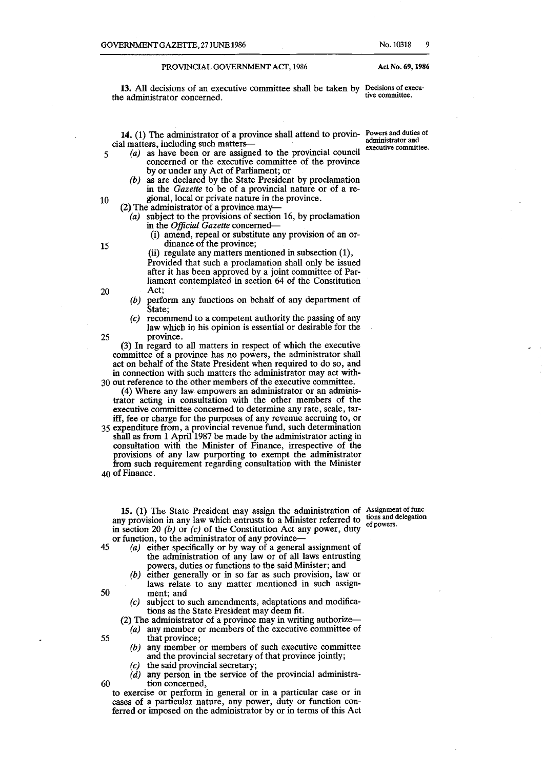13. All decisions of an executive committee shall be taken by Decisions of execu-<br>a administrator concerned the administrator concerned.

14. (1) The administrator of a province shall attend to provin-**Powers and duties of**  cial matters, including such matters-

- 5 *(a)* as have been or are assigned to the provincial council concerned or the executive committee of the province by or under any Act of Parliament; or
- *(b)* as are declared by the State President by proclamation in the *Gazette* to be of a provincial nature or of a re-10 gional, local or private nature in the province.

(2) The administrator of a province. may-

 $(a)$  subject to the provisions of section 16, by proclamation

- in the *Official Gazette* concerned-
- (i) amend, repeal or substitute any provision of an or-15 dinance of the province;
- (ii) regulate any matters mentioned in subsection (1), Provided that such a proclamation shall only be issued after it has been approved by a joint committee of Parliament contemplated in section 64 of the Constitution 20 Act;
	- (b) perform any functions on behalf of any department of State;
- (c) recommend to a competent authority the passing of any law which in his opinion is essential or desirable for the 25 province.

(3) In regard to all matters in respect of which the executive committee of a province has no powers, the administrator shall act on behalf of the State President when required to do so, and in connection with such matters the administrator may act with-

30 out reference to the other members of the executive committee. (4) Where any law empowers an administrator or an administrator acting in consultation with the other members of the executive committee concerned to determine any rate, scale, tariff, fee or charge for the purposes of any revenue accruing to, or

35 expenditure from, a provincial revenue fund, such determination shall as from 1 April 1987 be made by the administrator acting in consultation with the Minister of Finance, irrespective of the provisions of any law purporting to exempt the administrator from such requirement regarding consultation with the Minister 40 of Finance.

15. (1) The State President may assign the administration of Assignment of funcany provision in any law which entrusts to a Minister referred to in section 20 (b) or *(c)* of the Constitution Act any power, duty or function, to the administrator of any province-

- 45 (a) either specifically or by way of a general assignment of the administration of any law or of all laws entrusting powers, duties or functions to the said Minister; and
- (b) either generally or in so far as such provision, law or laws relate to any matter mentioned in such assign-SO ment; and
	- (c) subject to such amendments, adaptations and modifications as the State President may deem fit.

(2) The administrator of a province may in writing authorize--

- (a) any member or members of the executive committee of 55 that province;<br>(b) any member  $\alpha$ 
	- any member or members of such executive committee and the provincial secretary of that province jointly;
	- $(c)$  the said provincial secretary;
- $(d)$  any person in the service of the provincial administra-60 tion concerned,

to exercise or perform in general or in a particular case or in cases of a particular nature, any power, duty or function conferred or imposed on the administrator by or in terms of this Act

administrator and **executive committee.** 

**tions and delegation**  of powers.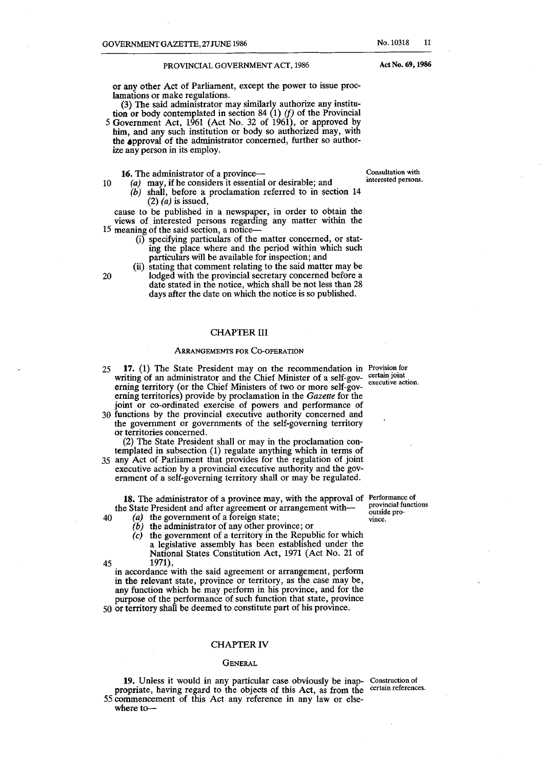#### PROVINCIAL GOVERNMENT ACT, 1986

or any other Act of Parliament, except the power to issue proclamations or make regulations.

(3) The said administrator may similarly authorize any institution or body contemplated in section 84  $(1)$  *(f)* of the Provincial

5 Government Act, 1961 (Act No. 32 of 1961), or approved by him, and any such institution or body so authorized may, with the approval of the administrator concerned, further so authorize any person in its employ.

**16.** The administrator of a province-- Consultation with

10  $(a)$  may, if he considers it essential or desirable; and (b) shall, before a proclamation referred to in section 14

(2) *(a)* is issued, cause to be published in a newspaper, in order to obtain the

views of interested persons regarding any matter within the 15 meaning of the said section, a notice-

- (i) specifying particulars of the matter concerned, or stating the place where and the period within which such particulars will be available for inspection; and
- (ii) stating that comment relating to the said matter may be 20 lodged with the provincial secretary concerned before a date stated in the notice, which shall be not less than 28 days after the date on which the notice is so published.

#### CHAPTER III

#### ARRANGEMENTS FOR CO-OPERATION

- 25 **17.** (1) The State President may on the recommendation in **Provision for**  writing of an administrator and the Chief Minister of a self-gov- certain joint erning territory (or the Chief Ministers of two or more self-governing territories) provide by proclamation in the *Gazette* for the joint or co-ordinated exercise of powers and performance of
- 30 functions by the provincial executive authority concerned and the government or governments of the self-governing territory or territories concerned.

(2) The State President shall or may in the proclamation contemplated in subsection (1) regulate anything which in terms of

35 any Act of Parliament that provides for the regulation of joint executive action by a provincial executive authority and the government of a self-governing territory shall or may be regulated.

**18.** The administrator of a province may, with the approval of **Performance of**  the State President and after agreement or arrangement with-

- 40 (a) the government of a foreign state;
	- $(b)$  the administrator of any other province; or
- (c) the government of a territory in the Republic for which a legislative assembly has been established under the National States Constitution Act, 1971 (Act No. 21 of 45 1971),

in accordance with the said agreement or arrangement, perform in the relevant state, province or territory, as the case may be, any function which he may perform in his province, and for the purpose of the performance of such function that state, province 50 or territory shall be deemed to constitute part of his province.

#### CHAPTER IV

#### **GENERAL**

**19.** Unless it would in any particular case obviously be inap- Construction of propriate, having regard to the objects of this Act, as from the certain references. 55 commencement of this Act any reference in any law or elsewhere to-

**executive action.** 

**provincial functions**  outside pro· **vince.** 

Act No. 69, 1986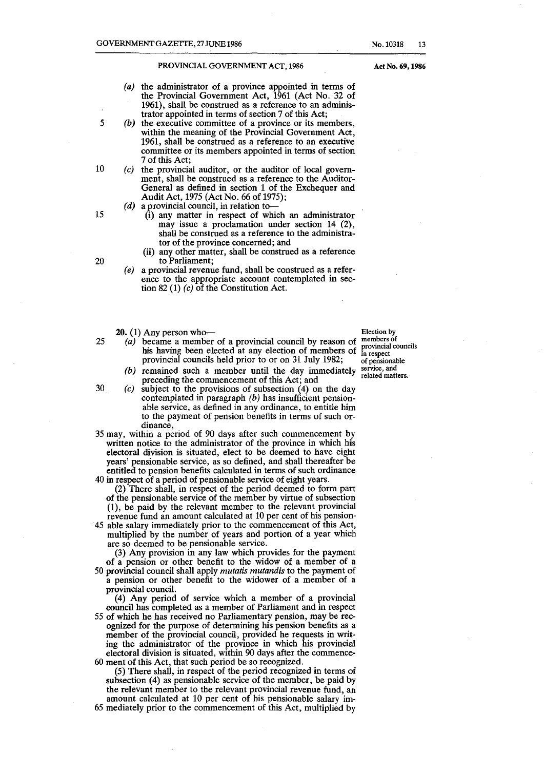- (a) the administrator of a province appointed in terms of the Provincial Government Act, 1961 (Act No. 32 of 1961), shall be construed as a reference to an administrator appointed in terms of section 7 of this Act;
- *(b)*  the executive committee of a province or its members, within the meaning of the Provincial Government Act, 1961, shall be construed as a reference to an executive committee or its members appointed in terms of section 7 of this Act;
- $(c)$  the provincial auditor, or the auditor of local government, shall be construed as a reference to the Auditor-General as defined in section 1 of the Exchequer and Audit Act, 1975 (Act No. 66 of 1975);
	- *(d)* a provincial council, in relation to--
		- (i) any matter in respect of which an administrator may issue a proclamation under section 14 (2), shall be construed as a reference to the administrator of the province concerned; and
		- (ii) any other matter, shall be construed as a reference to Parliament;
	- *(e)* a provincial revenue fund, shall be construed as a reference to the appropriate account contemplated in section 82 (1) *(c)* of the Constitution Act.
	- $20.$  (1) Any person who-
- 25 (a) became a member of a provincial council by reason of his having been elected at any election of members of provincial councils held prior to or on 31 July 1982;
	- (b) remained such a member until the day immediately preceding the commencement of this Act; and
- $30$  (c) subject to the provisions of subsection (4) on the day contemplated in paragraph  $(b)$  has insufficient pensionable service, as defined in any ordinance, to entitle him to the payment of pension benefits in terms of such ordinance,
- 35 may, within a period of 90 days after such commencement by written notice to the administrator of the province in which his electoral division is situated, elect to be deemed to have eight years' pensionable service, as so defined, and shall thereafter be entitled to pension benefits calculated in terms of such ordinance
- 40 in respect of a period of pensionable service of eight years. (2) There shall, in respect of the period deemed to form part of the pensionable service of the member by virtue of subsection (1), be paid by the relevant member to the relevant provincial revenue fund an amount calculated at 10 per cent of his pension-
- 45 able salary immediately prior to the commencement of this Act, multiplied by the number of years and portion of a year which are so deemed to be pensionable service.

(3) Any provision in any law which provides for the payment of a pension or other benefit to the widow of a member of a 50 provincial council shall apply *mutatis mutandis* to the payment of

a pension or other benefit to the widower of a member of a provincial council.

(4) Any period of service which a member of a provincial council has completed as a member of Parliament and in respect

55 of which he has received no Parliamentary pension, may be recognized for the purpose of determining his pension benefits as a member of the provincial council, provided he requests in writing the administrator of the province in which his provincial electoral division is situated, within 90 days after the commence-60 ment of this Act, that such period be so recognized.

(5) There shall, in respect of the period recognized in terms of subsection (4) as pensionable service of the member, be paid by the relevant member to the relevant provincial revenue fund, an amount calculated at 10 per cent of his pensionable salary im-65 mediately prior to the commencement of this Act, multiplied by

Election by **members of provincial councils in respect**  of pensionable **service, and**  related matters.

Act No. 69, 1986

20

5

10

15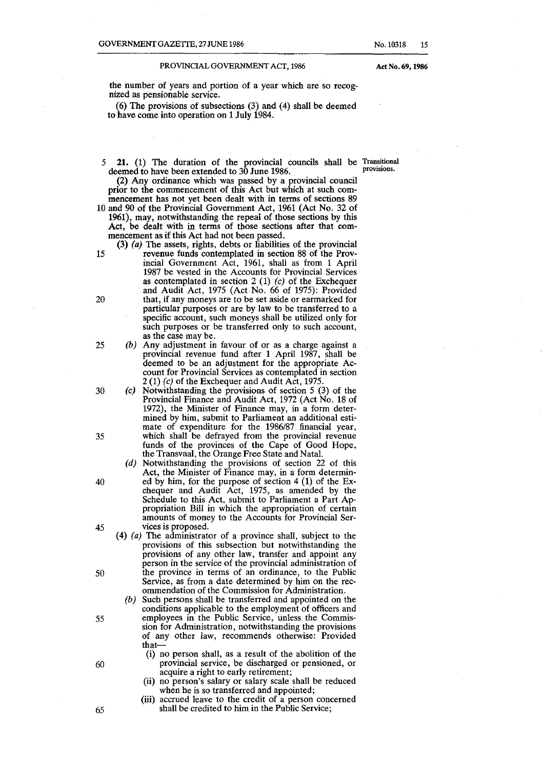No.10318 15

Act No. 69, 1986

the number of years and portion of a year which are so recognized as pensionable service.

(6) The provisions of subsections (3) and (4) shall be deemed to have come into operation on 1 July 1984.

5 21. (1) The duration of the provincial councils shall be Transitional deemed to have been extended to  $30$  June 1986.

(2) Any ordinance which was passed by a provincial council prior to the commencement of this Act but which at such commencement has not yet been dealt with in terms of sections 89

10 and 90 of the Provincial Government Act, 1961 (Act No. 32 of 1961), may, notwithstanding the repeal of those sections by this Act, be dealt with in terms of those sections after that commencement as if this Act had not been passed.

- (3) *(a)* The assets, rights, debts or liabilities of the provincial 15 revenue funds contemplated in section 88 of the Provincial Government Act, 1961, shall as from 1 April 1987 be vested in the Accounts for Provincial Services as contemplated in section 2 (1)  $(c)$  of the Exchequer and Audit Act, 1975 (Act No. 66 of 1975): Provided 20 that, if any moneys are to be set aside or earmarked for particular purposes or are by law to be transferred to a specific account, such moneys shall be utilized only for such purposes or be transferred only to such account, as the case may be.
- 25 (b) Any adjustment in favour of or as a charge against a provincial revenue fund after 1 April 1987, shall be deemed to be an adjustment for the appropriate Account for Provincial Services as contemplated in section 2 (1) (c) of the Exchequer and Audit Act, 1975.
- 30 (c) Notwithstanding the provisions of section 5 (3) of the Provincial Finance and Audit Act, 1972 (Act No. 18 of 1972), the Minister of Finance may, in a form deter· mined by him, submit to Parliament an additional esti' mate of expenditure for the 1986/87 financial year, 35 which shall be defrayed from the provincial revenue funds of the provinces of the Cape of Good Hope, the Transvaal, the Orange Free State and Natal.
- (d) Notwithstanding the provisions of section 22 of this Act, the Minister of Finance may, in a form determin-40 ed by him, for the purpose of section 4 (1) of the Exchequer and Audit Act, 1975, as amended by the Schedule to this Act, submit to Parliament a Part Appropriation Bill in which the appropriation of certain amounts of money to the Accounts for Provincial Ser-45 vices is proposed.
- (4)  $(a)$  The administrator of a province shall, subject to the provisions of this subsection but notwithstanding the provisions of any other law, transfer and appoint any person in the service of the provincial administration of 50 the province in terms of an ordinance, to the Public Service, as from a date determined by him on the recommendation of the Commission for Administration.
- (b) Such persons shall be transferred and appointed on the conditions applicable to the employment of officers and 55 employees in the Public Service, unless the Commission for Administration, notwithstanding the provisions of any other law, recommends otherwise: Provided that-
- (i) no person shall, as a result of the abolition of the 60 provincial service, be discharged or pensioned, or acquire a right to early retirement;
	- (ii) no person's salary or salary scale shall be reduced when he is so transferred and appointed;
- (iii) accrued leave to the credit of a person concerned 65 shall be credited to him in the Public Service;

- 
- 
- 
- 
- 
- 
- 
- 
- 
- 
- 
- 
- 
- 
- 
- 
- 
- 
- 
- 
- 
- 
- 
-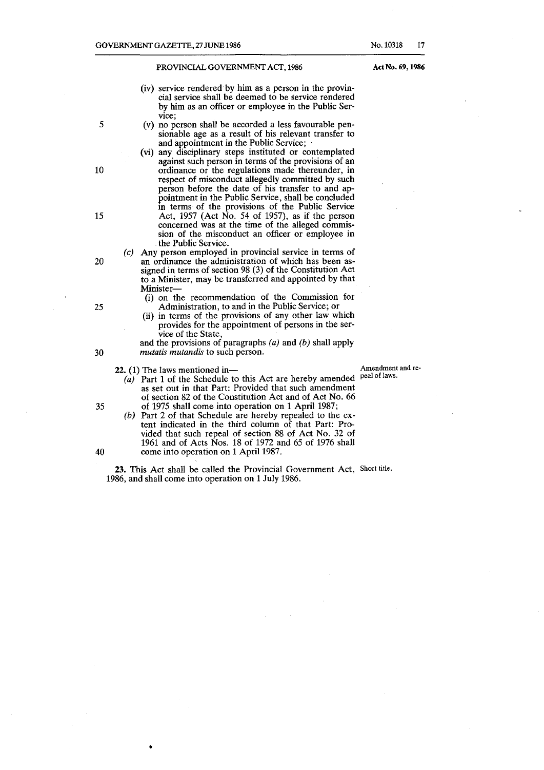- (iv) service rendered by him as a person in the provincial service shall be deemed to be service rendered by him as an officer or employee in the Public Service;
- (v) no person shall be accorded a less favourable pensionable age as a result of his relevant transfer to and appointment in the Public Service;
- (vi) any disciplinary steps instituted or contemplated against such person in terms of the provisions of an ordinance or the regulations made thereunder, in respect of misconduct allegedly committed by such person before the date of his transfer to and appointment in the Public Service, shall be concluded in terms of the provisions of the Public Service Act, 1957 (Act  $\overline{N}$ o. 54 of 1957), as if the person concerned was at the time of the alleged commission of the misconduct an officer or employee in the Public Service.
- (c) Any person employed in provincial service in terms of an ordinance the administration of which has been assigned in terms of section 98 (3) of the Constitution Act to a Minister, may be transferred and appointed by that Minister-
	- (i) on the recommendation of the Commission for Administration, to and in the Public Service; or
	- (ii) in terms of the provisions of any other law which provides for the appointment of persons in the service of the State,

and the provisions of paragraphs  $(a)$  and  $(b)$  shall apply *mutatis mutandis* to such person.

•

- 22. (1) The laws mentioned in-<br>(a) Port 1 of the Schedule to this Act are hereby amended, peal of laws.  $(a)$  Part 1 of the Schedule to this Act are hereby amended as set out in that Part: Provided that such amendment of section 82 of the Constitution Act and of Act No. 66 35 of 1975 shall come into operation on 1 April 1987;
- (b) Part 2 of that Schedule are hereby repealed to the extent indicated in the third column of that Part: Provided that such repeal of section 88 of Act No. 32 of 1961 and of Acts Nos. 18 of 1972 and 65 of 1976 shall 40 come into operation on 1 April 1987.

23. This Act shall be called the Provincial Government Act, Short title. 1986, and shall come into operation on 1 July 1986 .

10

5

15

20

25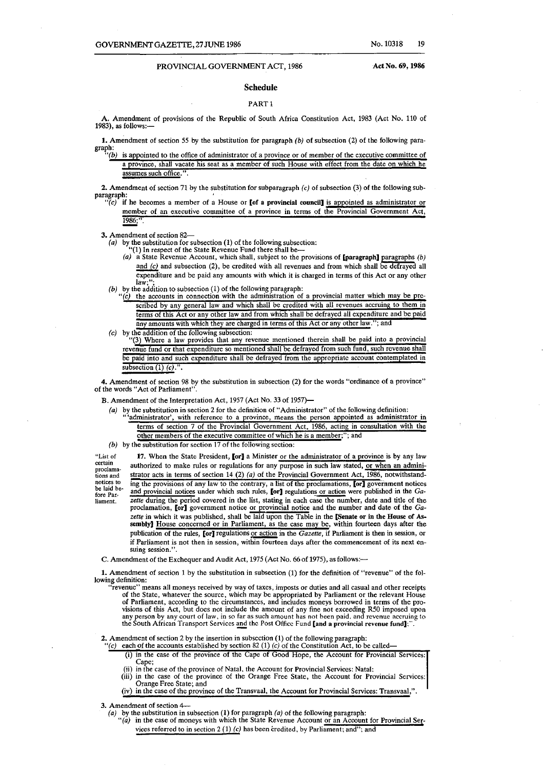#### Schedule

#### PART<sub>1</sub>

A. Amendment of provisions of the Republic of South Africa Constitution Act, 1983 (Act No. 110 of 1983), as follows:-

**1.** Amendment of section 55 by the substitution for paragraph  $(b)$  of subsection (2) of the following paragraph:<br>*"(b)* is appointed to the office of administrator of a province or of member of the executive committee of

a province, shall vacate his seat as a member of such House with effect from the date on which he assumes such office.".

2. Amendment of section 71 by the substitution for subparagraph  $(c)$  of subsection (3) of the following sub-paragraph:

 $\tilde{P}(c)$  if he becomes a member of a House or [of a provincial council] is appointed as administrator or member of an executive committee of a province in terms of the Provincial Government Act, 1986;

3. Amendment of section 82-

- 
- (a) by the substitution for subsection (1) of the following subsection: "(1) In respect of the State Revenue Fund there shall be-
	- (a) a State Revenue Account, which shall, subject to the provisions of **[paragraph]** paragraphs (b) and  $(c)$  and subsection  $(2)$ , be credited with all revenues and from which shall be defrayed all expenditure and be paid any amounts with which it is charged in terms of this Act or any other law:
- 
- (b) by the addition to subsection (1) of the following paragraph:<br>"(c) the accounts in connection with the administration of a provincial matter which may be prescribed by any general law and which shall be credited with all revenues accruing to them in terms of this Act or any other law and from which shall be defrayed all expenditure and be paid any amounts with which they are charged in terms of this Act or any other law."; and
- (c) by the addition of the following subsection:

"(3 Where a law provides that any revenue mentioned therein shall be paid into a provincial revenue fund or that expenditure so mentioned shall be defrayed from such fund, such revenue shall be paid into and such expenditure shall be defrayed from the appropriate account contemplated in subsection  $(1)$   $(c)$ .".

4. Amendment of section 98 by the substitution in subsection (2) for the words "ordinance of a province" of the words "Act of Parliament".

B. Amendment of the Interpretation Act, 1957 (Act No. 33 of 1957)-

- (a) by the substitution in section 2 for the definition of "Administrator" of the following definition:
	- 'administrator', with reference to a province, means the person appointed as administrator in terms of section 7 of the Provincial Government Act, 1986, acting in consultation with the other members of the executive committee of which he is a member;"; and
- (b) by the substitution for section 17 of the following section:

"List of certain proclamations and notices to be laid before Par. liament. 17. When the State President, [or] a Minister or the administrator of a province is by any law authorized to make rules or regulations for any purpose in such law stated, or when an administrator acts in terms of section 14 (2) (a) of the Provincial Government Act,  $\overline{1986}$ , notwithstanding the provisions of any law to the contrary, a list of the proclamations, [or] government notices and provincial notices under which such rules, [or] regulations or action were published in the *Ga*zette during the period covered in the list, stating in each case the number, date and title of the proclamation, [or] government notice or provincial notice and the number and date of the *Ga*zette in which it was published, shall be laid upon the Table in the [Senate or in the House of Assembly] House concerned or in Parliament, as the case may be, within fourteen days after the publication of the rules, [or] regulations or action in the *Gazette,* if Parliament is then in session, or if Parliament is not then in session, within fourteen days after the commencement of its next en- suing session.".

C. Amendment of the Exchequer and Audit Act, 1975 (Act No. 66 of 1975), as follows:-

1. Amendment of section 1 by the substitution in subsection (1) for the definition of "revenue" of the following definition:

"revenue" means all moneys received by way of taxes, imposts or duties and all casual and other receipts of the State, whatever the source, which may be appropriated by Parliament or the relevant House of Parliament, according to the circumstances, and includes moneys borrowed in terms of the provisions of this Act, but does not include the amount of any fine not exceeding R50 imposed upon<br>any person by any court of law, in so far as such amount has not been paid, and revenue accruing to<br>the South African Transpor

**2.** Amendment of section 2 by the insertion in subsection (1) of the following paragraph: "(c) each of the accounts established by section 82 (1) (c) of the Constitution Act, to be called—

(i) in the case of the province of the Cape of Good Hope, the Account for Provincial Services:

- Cape;
- (ii) in the case of the province of Natal. the Account for Provincial Services: Natal: (iii) in the case of the province of the Orange Free State, the Account for Provincial Services: Orange Free State; and

(iv) in the case of the province of the Transvaal, the Account for Provincial Services: Transvaal,''.

3. Amendment of section  $4-$ <br>(a) by the substitution in subsection (1) for paragraph (a) of the following paragraph:

(a) by the substitution in subsection (1) for paragraph (a) of the following paragraph:<br>
"(a) in the case of moneys with which the State Revenue Account or an Account for Provincial Services referred to in section  $2(1)(c)$  has been credited, by Parliament; and"; and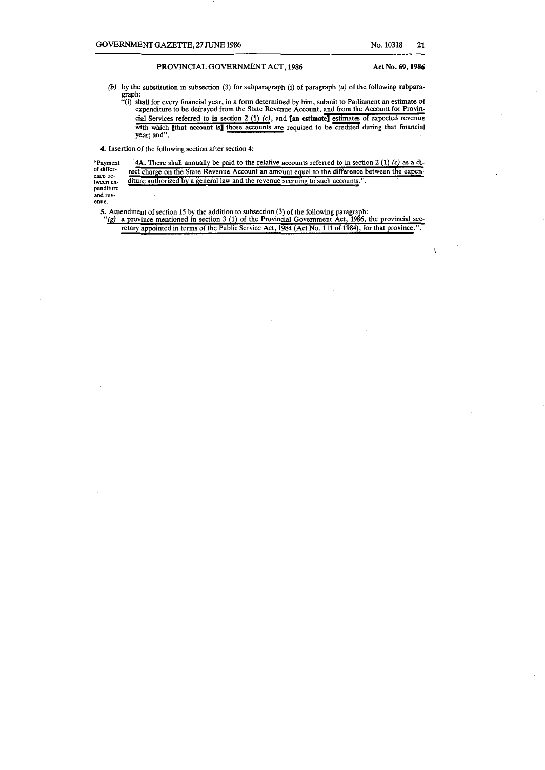$\mathbf{I}$ 

*(b)* by the substitution in subsection (3) for subparagraph (i) of paragraph (a) of the following subparagraph:

"(i) shall for every financial year, in a form determined by him, submit to Parliament an estimate of **expenditure to be defrayed from the State Revenue Account, and from the Account for Provin**cial Services referred to in section 2  $(1)$   $(c)$ , and [an estimate] estimates of expected revenue with which *[that account is] those accounts are required to be credited during that financial* **year; and".** 

**4. Insertion of the following section after section 4:** 

**"Payment of difference be-tween ex-penditure**  4A. There shall annually be paid to the relative accounts referred to in section 2 (1)  $(c)$  as a di**rect charge on the State Revenue Account an amount equal to the difference between the expenditure authorized by a general law and the revenue accruing to such accounts.".** 

**and revenue.** 

5. Amendment of section 15 by the addition to subsection (3) of the following paragraph: *"(8)* **a province mentioned in section 3 (1) of the Provincial Government Act, 1986, the provincial sec**retary appointed in terms of the Public Service Act, 1984 (Act No. 111 of 1984), for that province.".